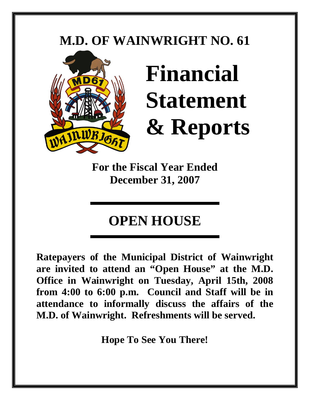# **M.D. OF WAINWRIGHT NO. 61**



# **Financial Statement & Reports**

**For the Fiscal Year Ended December 31, 2007** 

# **OPEN HOUSE**

**Ratepayers of the Municipal District of Wainwright are invited to attend an "Open House" at the M.D. Office in Wainwright on Tuesday, April 15th, 2008 from 4:00 to 6:00 p.m. Council and Staff will be in attendance to informally discuss the affairs of the M.D. of Wainwright. Refreshments will be served.** 

**Hope To See You There!**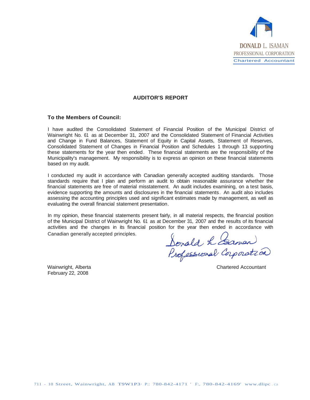

#### **AUDITOR'S REPORT**

#### **To the Members of Council:**

I have audited the Consolidated Statement of Financial Position of the Municipal District of Wainwright No. 61 as at December 31, 2007 and the Consolidated Statement of Financial Activities and Change in Fund Balances, Statement of Equity in Capital Assets, Statement of Reserves, Consolidated Statement of Changes in Financial Position and Schedules 1 through 13 supporting these statements for the year then ended. These financial statements are the responsibility of the Municipality's management. My responsibility is to express an opinion on these financial statements based on my audit.

I conducted my audit in accordance with Canadian generally accepted auditing standards. Those standards require that I plan and perform an audit to obtain reasonable assurance whether the financial statements are free of material misstatement. An audit includes examining, on a test basis, evidence supporting the amounts and disclosures in the financial statements. An audit also includes assessing the accounting principles used and significant estimates made by management, as well as evaluating the overall financial statement presentation.

In my opinion, these financial statements present fairly, in all material respects, the financial position of the Municipal District of Wainwright No. 61 as at December 31, 2007 and the results of its financial activities and the changes in its financial position for the year then ended in accordance with<br>Canadian generally accepted principles.

Sonald h Gaman<br>Professional Corporation

Wainwright, Alberta February 22, 2008

Chartered Accountant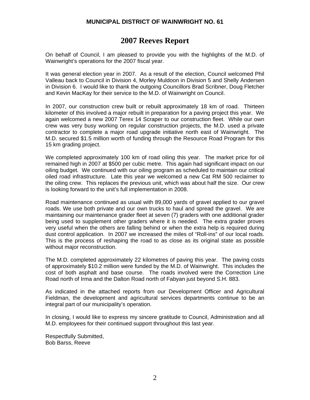# **2007 Reeves Report**

On behalf of Council, I am pleased to provide you with the highlights of the M.D. of Wainwright's operations for the 2007 fiscal year.

It was general election year in 2007. As a result of the election, Council welcomed Phil Valleau back to Council in Division 4, Morley Muldoon in Division 5 and Shelly Andersen in Division 6. I would like to thank the outgoing Councillors Brad Scribner, Doug Fletcher and Kevin MacKay for their service to the M.D. of Wainwright on Council.

In 2007, our construction crew built or rebuilt approximately 18 km of road. Thirteen kilometer of this involved a major rebuilt in preparation for a paving project this year. We again welcomed a new 2007 Terex 14 Scraper to our construction fleet. While our own crew was very busy working on regular construction projects, the M.D. used a private contractor to complete a major road upgrade initiative north east of Wainwright. The M.D. secured \$1.5 million worth of funding through the Resource Road Program for this 15 km grading project.

We completed approximately 100 km of road oiling this year. The market price for oil remained high in 2007 at \$500 per cubic metre. This again had significant impact on our oiling budget. We continued with our oiling program as scheduled to maintain our critical oiled road infrastructure. Late this year we welcomed a new Cat RM 500 reclaimer to the oiling crew. This replaces the previous unit, which was about half the size. Our crew is looking forward to the unit's full implementation in 2008.

Road maintenance continued as usual with 89,000 yards of gravel applied to our gravel roads. We use both private and our own trucks to haul and spread the gravel. We are maintaining our maintenance grader fleet at seven (7) graders with one additional grader being used to supplement other graders where it is needed. The extra grader proves very useful when the others are falling behind or when the extra help is required during dust control application. In 2007 we increased the miles of "Roll-ins" of our local roads. This is the process of reshaping the road to as close as its original state as possible without major reconstruction.

The M.D. completed approximately 22 kilometres of paving this year. The paving costs of approximately \$10.2 million were funded by the M.D. of Wainwright. This includes the cost of both asphalt and base course. The roads involved were the Correction Line Road north of Irma and the Dalton Road north of Fabyan just beyond S.H. 883.

As indicated in the attached reports from our Development Officer and Agricultural Fieldman, the development and agricultural services departments continue to be an integral part of our municipality's operation.

In closing, I would like to express my sincere gratitude to Council, Administration and all M.D. employees for their continued support throughout this last year.

Respectfully Submitted, Bob Barss, Reeve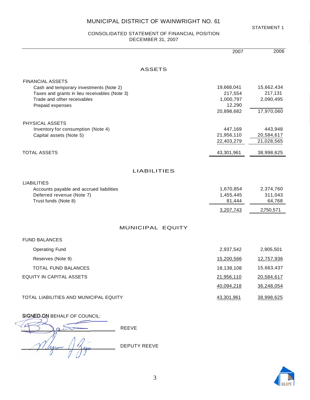CONSOLIDATED STATEMENT OF FINANCIAL POSITION DECEMBER 31, 2007

|                                                 | 2007                | 2006       |
|-------------------------------------------------|---------------------|------------|
| <b>ASSETS</b>                                   |                     |            |
| <b>FINANCIAL ASSETS</b>                         |                     |            |
| Cash and temporary investments (Note 2)         | 19,668,041          | 15,662,434 |
| Taxes and grants in lieu receivables (Note 3)   | 217,554             | 217,131    |
| Trade and other receivables<br>Prepaid expenses | 1,000,797<br>12,290 | 2,090,495  |
|                                                 | 20,898,682          | 17,970,060 |
| PHYSICAL ASSETS                                 |                     |            |
| Inventory for consumption (Note 4)              | 447,169             | 443,948    |
| Capital assets (Note 5)                         | 21,956,110          | 20,584,617 |
|                                                 | 22,403,279          | 21,028,565 |
| <b>TOTAL ASSETS</b>                             | 43,301,961          | 38,998,625 |
| <b>LIABILITIES</b>                              |                     |            |
| <b>LIABILITIES</b>                              |                     |            |
| Accounts payable and accrued liabilities        | 1,670,854           | 2,374,760  |
| Deferred revenue (Note 7)                       | 1,455,445           | 311,043    |
| Trust funds (Note 8)                            | 81,444              | 64,768     |
|                                                 | 3,207,743           | 2,750,571  |
| MUNICIPAL EQUITY                                |                     |            |
| <b>FUND BALANCES</b>                            |                     |            |
| <b>Operating Fund</b>                           | 2,937,542           | 2,905,501  |
| Reserves (Note 9).                              | 15,200,566          | 12,757,936 |
| <b>TOTAL FUND BALANCES</b>                      | 18,138,108          | 15,663,437 |
| <b>EQUITY IN CAPITAL ASSETS</b>                 | 21,956,110          | 20,584,617 |
|                                                 | 40,094,218          | 36,248,054 |
| TOTAL LIABILITIES AND MUNICIPAL EQUITY          | 43,301,961          | 38,998,625 |
| SIGNED ON BEHALF OF COUNCIL:                    |                     |            |
| REEVE                                           |                     |            |

DEPUTY REEVE

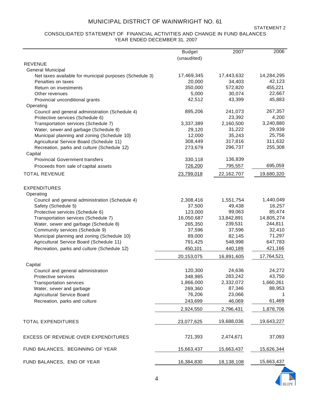#### . STATEMENT 2

#### CONSOLIDATED STATEMENT OF FINANCIAL ACTIVITIES AND CHANGE IN FUND BALANCES YEAR ENDED DECEMBER 31, 2007

|                                                                              |               | 2007       | 2006       |
|------------------------------------------------------------------------------|---------------|------------|------------|
|                                                                              | <b>Budget</b> |            |            |
| <b>REVENUE</b>                                                               | (unaudited)   |            |            |
|                                                                              |               |            |            |
| General Municipal<br>Net taxes available for municipal purposes (Schedule 3) | 17,469,345    | 17,443,632 | 14,284,295 |
| Penalties on taxes                                                           | 20,000        | 34,403     | 42,123     |
| Return on investments                                                        | 350,000       | 572,820    | 455,221    |
| Other revenues                                                               | 5,000         | 30,074     | 22,667     |
| Provincial unconditional grants                                              | 42,512        | 43,399     | 45,883     |
| Operating                                                                    |               |            |            |
| Council and general administration (Schedule 4)                              | 895,206       | 241,073    | 267,357    |
| Protective services (Schedule 6)                                             |               | 23,392     | 4,200      |
| Transportation services (Schedule 7)                                         | 3,337,389     | 2,160,500  | 3,240,880  |
| Water, sewer and garbage (Schedule 8)                                        | 29,120        | 31,222     | 29,939     |
| Municipal planning and zoning (Schedule 10)                                  | 12,000        | 35,243     | 25,756     |
| Agricultural Service Board (Schedule 11)                                     | 308,449       | 317,816    | 311,632    |
| Recreation, parks and culture (Schedule 12)                                  | 273,679       | 296,737    | 255,308    |
| Capital                                                                      |               |            |            |
| <b>Provincial Government transfers</b>                                       | 330,118       | 136,839    |            |
| Proceeds from sale of capital assets                                         | 726,200       | 795,557    | 695,059    |
|                                                                              |               |            |            |
| <b>TOTAL REVENUE</b>                                                         | 23,799,018    | 22,162,707 | 19,680,320 |
| <b>EXPENDITURES</b>                                                          |               |            |            |
| Operating                                                                    |               |            |            |
| Council and general administration (Schedule 4)                              | 2,308,416     | 1,551,754  | 1,440,049  |
| Safety (Schedule 5)                                                          | 37,500        | 49,438     | 16,257     |
| Protective services (Schedule 6)                                             | 123,000       | 99,063     | 85,474     |
| Transportation services (Schedule 7)                                         | 16,050,687    | 13,842,891 | 14,805,274 |
| Water, sewer and garbage (Schedule 8)                                        | 265,350       | 239,531    | 244,811    |
| Community services (Schedule 9)                                              | 37,596        | 37,596     | 32,410     |
| Municipal planning and zoning (Schedule 10)                                  | 89,000        | 82,145     | 71,297     |
| Agricultural Service Board (Schedule 11)                                     | 791,425       | 548,998    | 647,783    |
| Recreation, parks and culture (Schedule 12)                                  | 450,101       | 440,189    | 421,166    |
|                                                                              | 20,153,075    | 16,891,605 | 17,764,521 |
| Capital                                                                      |               |            |            |
| Council and general administration                                           | 120,300       | 24,636     | 24,272     |
| Protective services                                                          | 348,985       | 283,242    | 43,750     |
| <b>Transportation services</b>                                               | 1,866,000     | 2,332,072  | 1,660,261  |
| Water, sewer and garbage                                                     | 269,360       | 87,346     | 88,953     |
| Agricultural Service Board                                                   | 76,206        | 23,066     | 1          |
| Recreation, parks and culture                                                | 243,699       | 46,069     | 61,469     |
|                                                                              |               |            |            |
|                                                                              | 2,924,550     | 2,796,431  | 1,878,706  |
| <b>TOTAL EXPENDITURES</b>                                                    | 23,077,625    | 19,688,036 | 19,643,227 |
| EXCESS OF REVENUE OVER EXPENDITURES                                          | 721,393       | 2,474,671  | 37,093     |
|                                                                              |               |            |            |
| FUND BALANCES, BEGINNING OF YEAR                                             | 15,663,437    | 15,663,437 | 15,626,344 |
| FUND BALANCES, END OF YEAR                                                   | 16,384,830    | 18,138,108 | 15,663,437 |

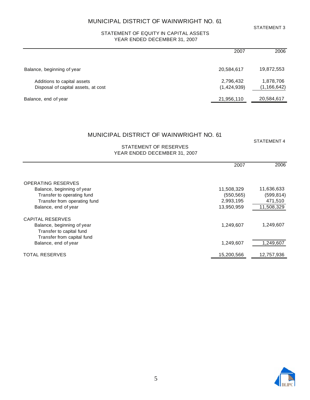#### STATEMENT OF EQUITY IN CAPITAL ASSETS YEAR ENDED DECEMBER 31, 2007

|                                                                    | 2007                     | 2006                       |
|--------------------------------------------------------------------|--------------------------|----------------------------|
| Balance, beginning of year                                         | 20,584,617               | 19,872,553                 |
| Additions to capital assets<br>Disposal of capital assets, at cost | 2,796,432<br>(1,424,939) | 1,878,706<br>(1, 166, 642) |
| Balance, end of year                                               | 21,956,110               | 20,584,617                 |

## MUNICIPAL DISTRICT OF WAINWRIGHT NO. 61

STATEMENT 4

STATEMENT 3

#### STATEMENT OF RESERVES YEAR ENDED DECEMBER 31, 2007

|                              | 2007       | 2006       |
|------------------------------|------------|------------|
|                              |            |            |
| <b>OPERATING RESERVES</b>    |            |            |
| Balance, beginning of year   | 11,508,329 | 11,636,633 |
| Transfer to operating fund   | (550, 565) | (599, 814) |
| Transfer from operating fund | 2,993,195  | 471,510    |
| Balance, end of year         | 13,950,959 | 11,508,329 |
| CAPITAL RESERVES             |            |            |
| Balance, beginning of year   | 1,249,607  | 1,249,607  |
| Transfer to capital fund     |            |            |
| Transfer from capital fund   |            |            |
| Balance, end of year         | 1,249,607  | 1,249,607  |
| <b>TOTAL RESERVES</b>        | 15,200,566 | 12,757,936 |

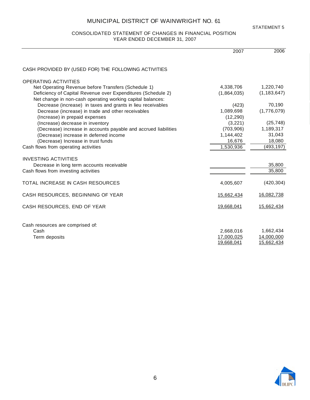#### STATEMENT 5

#### CONSOLIDATED STATEMENT OF CHANGES IN FINANCIAL POSITION YEAR ENDED DECEMBER 31, 2007

|                                                                                                                            | 2007        | 2006          |
|----------------------------------------------------------------------------------------------------------------------------|-------------|---------------|
| CASH PROVIDED BY (USED FOR) THE FOLLOWING ACTIVITIES                                                                       |             |               |
| <b>OPERATING ACTIVITIES</b>                                                                                                |             |               |
| Net Operating Revenue before Transfers (Schedule 1)                                                                        | 4,338,706   | 1,220,740     |
| Deficiency of Capital Revenue over Expenditures (Schedule 2)<br>Net change in non-cash operating working capital balances: | (1,864,035) | (1, 183, 647) |
| Decrease (increase) in taxes and grants in lieu receivables                                                                | (423)       | 70,190        |
| Decrease (increase) in trade and other receivables                                                                         | 1,089,698   | (1,776,079)   |
| (Increase) in prepaid expenses                                                                                             | (12, 290)   |               |
| (Increase) decrease in inventory                                                                                           | (3,221)     | (25, 748)     |
| (Decrease) increase in accounts payable and accrued liabilities                                                            | (703,906)   | 1,189,317     |
| (Decrease) increase in deferred income                                                                                     | 1,144,402   | 31,043        |
| (Decrease) Increase in trust funds                                                                                         | 16,676      | 18,080        |
| Cash flows from operating activities                                                                                       | 1,530,936   | (493, 197)    |
| <b>INVESTING ACTIVITIES</b>                                                                                                |             |               |
| Decrease in long term accounts receivable                                                                                  |             | 35,800        |
| Cash flows from investing activities                                                                                       |             | 35,800        |
| TOTAL INCREASE IN CASH RESOURCES                                                                                           | 4,005,607   | (420, 304)    |
| CASH RESOURCES, BEGINNING OF YEAR                                                                                          | 15,662,434  | 16,082,738    |
| CASH RESOURCES, END OF YEAR                                                                                                | 19,668,041  | 15,662,434    |
|                                                                                                                            |             |               |
| Cash resources are comprised of:                                                                                           |             |               |
| Cash                                                                                                                       | 2,668,016   | 1,662,434     |
| Term deposits                                                                                                              | 17,000,025  | 14,000,000    |
|                                                                                                                            | 19,668,041  | 15,662,434    |

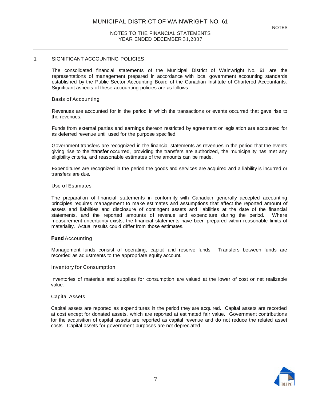#### 1. SIGNIFICANT ACCOUNTING POLICIES

The consolidated financial statements of the Municipal District of Wainwright No. 61 are the representations of management prepared in accordance with local government accounting standards established by the Public Sector Accounting Board of the Canadian Institute of Chartered Accountants. Significant aspects of these accounting policies are as follows:

#### Basis of Accounting

Revenues are accounted for in the period in which the transactions or events occurred that gave rise to the revenues.

Funds from external parties and earnings thereon restricted by agreement or legislation are accounted for as deferred revenue until used for the purpose specified.

Government transfers are recognized in the financial statements as revenues in the period that the events giving rise to the transfer occurred, providing the transfers are authorized, the municipality has met any eligibility criteria, and reasonable estimates of the amounts can be made.

Expenditures are recognized in the period the goods and services are acquired and a liability is incurred or transfers are due.

#### Use of Estimates

The preparation of financial statements in conformity with Canadian generally accepted accounting principles requires management to make estimates and assumptions that affect the reported amount of assets and liabilities and disclosure of contingent assets and liabilities at the date of the financial statements, and the reported amounts of revenue and expenditure during the period. Where measurement uncertainty exists, the financial statements have been prepared within reasonable limits of materiality. Actual results could differ from those estimates.

#### **Fund Accounting**

Management funds consist of operating, capital and reserve funds. Transfers between funds are recorded as adjustments to the appropriate equity account.

#### Inventory for Consumption

Inventories of materials and supplies for consumption are valued at the lower of cost or net realizable value.

#### Capital Assets

Capital assets are reported as expenditures in the period they are acquired. Capital assets are recorded at cost except for donated assets, which are reported at estimated fair value. Government contributions for the acquisition of capital assets are reported as capital revenue and do not reduce the related asset costs. Capital assets for government purposes are not depreciated.

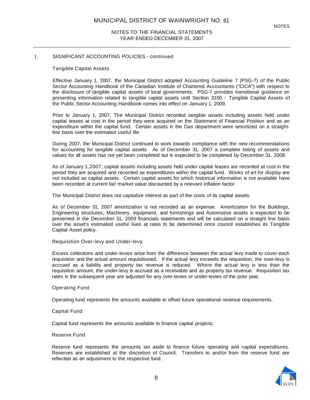#### 1. SIGNIFICANT ACCOUNTING POLICIES - continued

Tangible Capital Assets

Effective January 1, 2007, the Municipal District adopted Accounting Guideline 7 (PSG-7) of the Public Sector Accounting Handbook of the Canadian Institute of Chartered Accountants ("CICA") with respect to the disclosure of tangible capital assets of local governments. PSG-7 provides transitional guidance on presenting information related to tangible capital assets until Section 3150 - Tangible Capital Assets of the Public Sector Accounting Handbook comes into effect on January 1, 2009.

Prior to January 1, 2007, The Municipal District recorded tangible assets including assets held under capital leases at cost in the period they were acquired on the Statement of Financial Position and as an expenditure within the capital fund. Certain assets in the Gas department were amortized on a straightline basis over the estimated useful life.

During 2007, the Municipal District continued to work towards compliance with the new recommendations for accounting for tangible capital assets. As of December 31, 2007 a complete listing of assets and values for all assets has not yet been completed but is expected to be completed by December 31, 2008.

As of January 1,2007, capital assets including assets held under capital leases are recorded at cost in the period they are acquired and recorded as expenditures within the capital fund. Works of art for display are not included as capital assets. Certain capital assets for which historical information is not available have been recorded at current fair market value discounted by a relevant inflation factor.

The Municipal District does not capitalize interest as part of the costs of its capital assets.

As of December 31, 2007 amortization is not recorded as an expense. Amortization for the Buildings, Engineering structures, Machinery, equipment, and furnishings and Automotive assets is expected to be presented in the December 31, 2009 financials statements and will be calculated on a straight line basis over the asset's estimated useful lives at rates to be determined once council establishes its Tangible Capital Asset policy.

#### Requisition Over-levy and Under-levy

Excess collections and under-levies arise from the difference between the actual levy made to cover each requisition and the actual amount requisitioned. If the actual levy exceeds the requisition, the over-levy is accrued as a liability and property tax revenue is reduced. Where the actual levy is less than the requisition amount, the under-levy is accrued as a receivable and as property tax revenue. Requisition tax rates in the subsequent year are adjusted for any over-levies or under-levies of the prior year.

#### Operating Fund

Operating fund represents the amounts available to offset future operational revenue requirements.

#### Capital Fund

Capital fund represents the amounts available to finance capital projects.

#### Reserve Fund

Reserve fund represents the amounts set aside to finance future operating and capital expenditures. Reserves are established at the discretion of Council. Transfers to and/or from the reserve fund are reflected as an adjustment to the respective fund.

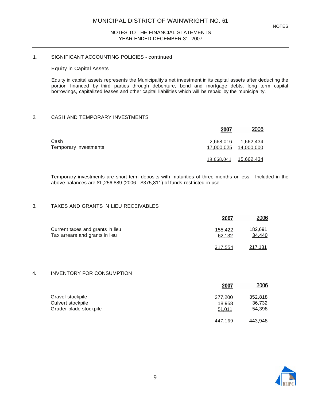#### 1. SIGNIFICANT ACCOUNTING POLICIES - continued

Equity in Capital Assets

Equity in capital assets represents the Municipality's net investment in its capital assets after deducting the portion financed by third parties through debenture, bond and mortgage debts, long term capital borrowings, capitalized leases and other capital liabilities which will be repaid by the municipality.

#### 2. CASH AND TEMPORARY INVESTMENTS

|                               | 2007                  | 2006                               |
|-------------------------------|-----------------------|------------------------------------|
| Cash<br>Temporary investments | 2,668,016             | 1,662,434<br>17,000,025 14,000,000 |
|                               | 19,668,041 15,662,434 |                                    |

Temporary investments are short term deposits with maturities of three months or less. Included in the above balances are \$1 ,256,889 (2006 - \$375,811) of funds restricted in use.

#### 3. TAXES AND GRANTS IN LIEU RECEIVABLES

|                                                                    | 2007              | 2006              |
|--------------------------------------------------------------------|-------------------|-------------------|
| Current taxes and grants in lieu<br>Tax arrears and grants in lieu | 155.422<br>62.132 | 182,691<br>34,440 |
|                                                                    | 217,554           | 217,131           |

#### 4. INVENTORY FOR CONSUMPTION

|                        | 2007    | 2006    |
|------------------------|---------|---------|
| Gravel stockpile       | 377,200 | 352,818 |
| Culvert stockpile      | 18.958  | 36,732  |
| Grader blade stockpile | 51,011  | 54,398  |
|                        | 447,169 | 443,948 |

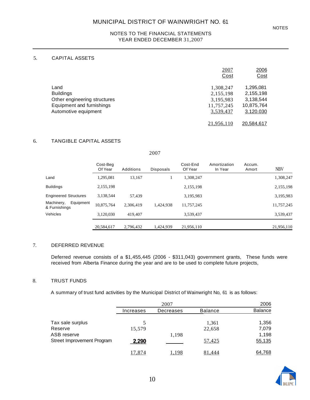#### 5. CAPITAL ASSETS

|                              | 2007       | <u>2006</u> |
|------------------------------|------------|-------------|
|                              | Cost       | Cost        |
| Land                         | 1,308,247  | 1,295,081   |
| <b>Buildings</b>             | 2,155,198  | 2,155,198   |
| Other engineering structures | 3,195,983  | 3,138,544   |
| Equipment and furnishings    | 11,757,245 | 10,875,764  |
| Automotive equipment         | 3,539,437  | 3.120.030   |
|                              | 21.956.110 | 20.584.617  |

#### 6. TANGIBLE CAPITAL ASSETS

#### 2007

|                                          | Cost-Beg<br>Of Year | Additions | <b>Disposals</b> | Cost-End<br>Of Year | Amortization<br>In Year | Accum.<br>Amort | <b>NBV</b> |
|------------------------------------------|---------------------|-----------|------------------|---------------------|-------------------------|-----------------|------------|
| Land                                     | 1,295,081           | 13.167    |                  | 1,308,247           |                         |                 | 1,308,247  |
| <b>Buildings</b>                         | 2,155,198           |           |                  | 2,155,198           |                         |                 | 2,155,198  |
| <b>Engineered Structures</b>             | 3,138,544           | 57.439    |                  | 3,195,983           |                         |                 | 3,195,983  |
| Equipment<br>Machinery,<br>& Furnishings | 10,875,764          | 2.306.419 | 1.424.938        | 11,757,245          |                         |                 | 11,757,245 |
| Vehicles                                 | 3,120,030           | 419.407   |                  | 3,539,437           |                         |                 | 3,539,437  |
|                                          | 20,584,617          | 2,796,432 | 1,424,939        | 21,956,110          |                         |                 | 21,956,110 |

#### 7. DEFERRED REVENUE

Deferred revenue consists of a \$1,455,445 (2006 - \$311,043) government grants, These funds were received from Alberta Finance during the year and are to be used to complete future projects,

#### 8. TRUST FUNDS

A summary of trust fund activities by the Municipal District of Wainwright No, 61 is as follows:

|                            | 2007      |           |                | 2006           |
|----------------------------|-----------|-----------|----------------|----------------|
|                            | Increases | Decreases | <b>Balance</b> | <b>Balance</b> |
| Tax sale surplus           |           |           | 1,361          | 1,356          |
| Reserve                    | 15,579    |           | 22,658         | 7,079          |
| ASB reserve                |           | 1,198     |                | 1,198          |
| Street Improvement Program | 2,290     |           | 57,425         | 55,135         |
|                            | 17,874    | 1,198     | 81.444         | 64,768         |

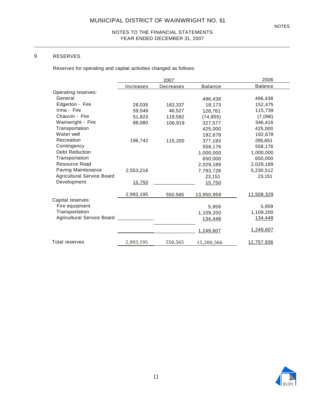#### 9. RESERVES

Reserves for operating and capital activities changed as follows:

|                                   | 2007      |           |                | 2006           |
|-----------------------------------|-----------|-----------|----------------|----------------|
|                                   | Increases | Decreases | <b>Balance</b> | <b>Balance</b> |
| Operating reserves:               |           |           |                |                |
| General                           |           |           | 496,438        | 496,438        |
| Edgerton - Fire                   | 28,035    | 162,337   | 18,173         | 152,475        |
| Irma - Fire                       | 59,549    | 46,527    | 128,761        | 115,739        |
| Chauvin - Fire                    | 51,823    | 119,582   | (74, 855)      | (7,096)        |
| Wainwright - Fire                 | 88,080    | 106,919   | 327,577        | 346,416        |
| Transportation                    |           |           | 425,000        | 425,000        |
| Water well                        |           |           | 192,678        | 192,678        |
| Recreation                        | 196,742   | 115,200   | 377,193        | 295,651        |
| Contingency                       |           |           | 558,176        | 558,176        |
| <b>Debt Reduction</b>             |           |           | 1,000,000      | 1,000,000      |
| Transportation                    |           |           | 650,000        | 650,000        |
| Resource Road                     |           |           | 2,029,189      | 2,029,189      |
| Paving Maintenance                | 2,553,216 |           | 7,783,728      | 5,230,512      |
| Agricultural Service Board        |           |           | 23,151         | 23,151         |
| Development                       | 15,750    |           | 15,750         |                |
|                                   | 2,993,195 | 550,565   | 13,950,959     | 11,508,329     |
| Capital reserves:                 |           |           |                |                |
| Fire equipment                    |           |           | 5,959          | 5,959          |
| Transportation                    |           |           | 1,109,200      | 1,109,200      |
| <b>Agricultural Service Board</b> |           |           | 134,448        | 134,448        |
|                                   |           |           | 1,249,607      | 1,249,607      |
| Total reserves                    | 2,993,195 | 550,565   | 15,200,566     | 12,757,936     |

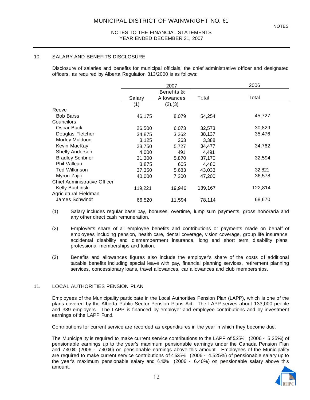YEAR ENDED DECEMBER 31, 2007

#### 10. SALARY AND BENEFITS DISCLOSURE

Disclosure of salaries and benefits for municipal officials, the chief administrative officer and designated officers, as required by Alberta Regulation 313/2000 is as follows:

|                                     |         | 2007          |         | 2006    |
|-------------------------------------|---------|---------------|---------|---------|
|                                     |         | Benefits $\&$ |         |         |
|                                     | Salary  | Allowances    | Total   | Total   |
|                                     | (1)     | (2), (3)      |         |         |
| Reeve                               |         |               |         |         |
| <b>Bob Barss</b>                    | 46,175  | 8,079         | 54,254  | 45,727  |
| Councilors                          |         |               |         |         |
| Oscar Buck                          | 26,500  | 6,073         | 32,573  | 30,829  |
| Douglas Fletcher                    | 34,875  | 3,262         | 38,137  | 35,476  |
| Morley Muldoon                      | 3,125   | 263           | 3,388   |         |
| Kevin MacKay                        | 28,750  | 5,727         | 34,477  | 34,762  |
| Shelly Andersen                     | 4,000   | 491           | 4,491   |         |
| <b>Bradley Scribner</b>             | 31,300  | 5,870         | 37,170  | 32,594  |
| Phil Valleau                        | 3,875   | 605           | 4,480   |         |
| <b>Ted Wilkinson</b>                | 37,350  | 5,683         | 43,033  | 32,821  |
| Myron Zajic                         | 40,000  | 7,200         | 47,200  | 36,578  |
| <b>Chief Administrative Officer</b> |         |               |         |         |
| Kelly Buchinski                     | 119,221 | 19,946        | 139,167 | 122,814 |
| Agricultural Fieldman               |         |               |         |         |
| James Schwindt                      | 66,520  | 11,594        | 78,114  | 68,670  |

- (1) Salary includes regular base pay, bonuses, overtime, lump sum payments, gross honoraria and any other direct cash remuneration.
- (2) Employer's share of all employee benefits and contributions or payments made on behalf of employees including pension, health care, dental coverage, vision coverage, group life insurance, accidental disability and dismemberment insurance, long and short term disability plans, professional memberships and tuition.
- (3) Benefits and allowances figures also include the employer's share of the costs of additional taxable benefits including special leave with pay, financial planning services, retirement planning services, concessionary loans, travel allowances, car allowances and club memberships.

#### 11. LOCAL AUTHORITIES PENSION PLAN

Employees of the Municipality participate in the Local Authorities Pension Plan (LAPP), which is one of the plans covered by the Alberta Public Sector Pension Plans Act. The LAPP serves about 133,000 people and 389 employers. The LAPP is financed by employer and employee contributions and by investment earnings of the LAPP Fund.

Contributions for current service are recorded as expenditures in the year in which they become due.

The Municipality is required to make current service contributions to the LAPP of 5.25% (2006 - 5.25%) of pensionable earnings up to the year's maximum pensionable earnings under the Canada Pension Plan and 7.400/0 (2006 - 7.400/0) on pensionable earnings above this amount. Employees of the Municipality are required to make current service contributions of 4.525% (2006 - 4.525%) of pensionable salary up to the year's maximum pensionable salary and 6.40% (2006 - 6.40%) on pensionable salary above this amount.

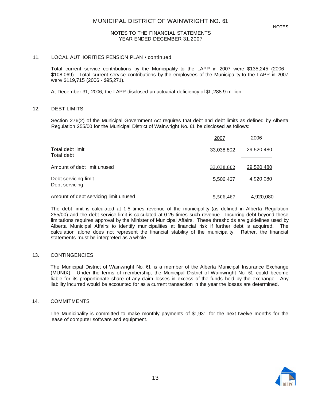#### 11. LOCAL AUTHORITIES PENSION PLAN • continued

Total current service contributions by the Municipality to the LAPP in 2007 were \$135,245 (2006 - \$108,069). Total current service contributions by the employees of the Municipality to the LAPP in 2007 were \$119,715 (2006 - \$95,271).

At December 31, 2006, the LAPP disclosed an actuarial deficiency of \$1 ,288.9 million.

#### 12. DEBT LIMITS

Section 276(2) of the Municipal Government Act requires that debt and debt limits as defined by Alberta Regulation 255/00 for the Municipal District of Wainwright No. 61 be disclosed as follows:

|                                        | 2007       | 2006       |
|----------------------------------------|------------|------------|
| Total debt limit<br>Total debt         | 33,038,802 | 29,520,480 |
| Amount of debt limit unused            | 33,038,802 | 29,520,480 |
| Debt servicing limit<br>Debt servicing | 5,506,467  | 4,920,080  |
| Amount of debt servicing limit unused  | 5,506,467  | 4,920,080  |

The debt limit is calculated at 1.5 times revenue of the municipality (as defined in Alberta Regulation 255/00) and the debt service limit is calculated at 0.25 times such revenue. Incurring debt beyond these limitations requires approval by the Minister of Municipal Affairs. These thresholds are guidelines used by Alberta Municipal Affairs to identify municipalities at financial risk if further debt is acquired. The calculation alone does not represent the financial stability of the municipality. Rather, the financial statements must be interpreted as a whole.

#### 13. CONTINGENCIES

The Municipal District of Wainwright No. 61 is a member of the Alberta Municipal Insurance Exchange (MUNIX). Under the terms of membership, the Municipal District of Wainwright No. 61 could become liable for its proportionate share of any claim losses in excess of the funds held by the exchange. Any liability incurred would be accounted for as a current transaction in the year the losses are determined.

#### 14. COMMITMENTS

The Municipality is committed to make monthly payments of \$1,931 for the next twelve months for the lease of computer software and equipment.

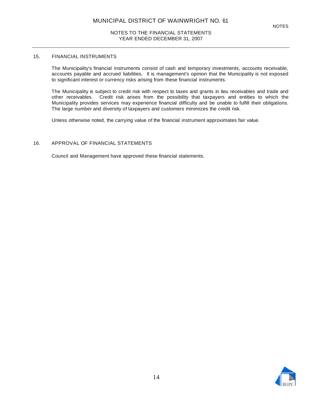#### 15. FINANCIAL INSTRUMENTS

The Municipality's financial instruments consist of cash and temporary investments, accounts receivable, accounts payable and accrued liabilities. It is management's opinion that the Municipality is not exposed to significant interest or currency risks arising from these financial instruments.

The Municipality is subject to credit risk with respect to taxes and grants in lieu receivables and trade and other receivables. Credit risk arises from the possibility that taxpayers and entities to which the Municipality provides services may experience financial difficulty and be unable to fulfill their obligations. The large number and diversity of taxpayers and customers minimizes the credit risk.

Unless otherwise noted, the carrying value of the financial instrument approximates fair value.

#### 16. APPROVAL OF FINANCIAL STATEMENTS

Council and Management have approved these financial statements.

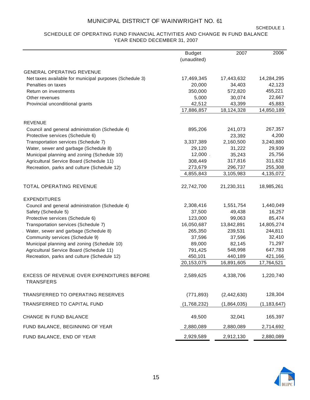#### SCHEDULE 1

#### SCHEDULE OF OPERATING FUND FINANCIAL ACTIVITIES AND CHANGE IN FUND BALANCE YEAR ENDED DECEMBER 31, 2007

|                                                                | <b>Budget</b> | 2007        | 2006          |
|----------------------------------------------------------------|---------------|-------------|---------------|
|                                                                | (unaudited)   |             |               |
| <b>GENERAL OPERATING REVENUE</b>                               |               |             |               |
| Net taxes available for municipal purposes (Schedule 3)        | 17,469,345    | 17,443,632  | 14,284,295    |
| Penalties on taxes                                             | 20,000        | 34,403      | 42,123        |
| Return on investments                                          | 350,000       | 572,820     | 455,221       |
| Other revenues                                                 | 5,000         | 30,074      | 22,667        |
| Provincial unconditional grants                                | 42,512        | 43,399      | 45,883        |
|                                                                | 17,886,857    | 18,124,328  | 14,850,189    |
| <b>REVENUE</b>                                                 |               |             |               |
| Council and general administration (Schedule 4)                | 895,206       | 241,073     | 267,357       |
| Protective services (Schedule 6)                               |               | 23,392      | 4,200         |
| Transportation services (Schedule 7)                           | 3,337,389     | 2,160,500   | 3,240,880     |
| Water, sewer and garbage (Schedule 8)                          | 29,120        | 31,222      | 29,939        |
| Municipal planning and zoning (Schedule 10)                    | $12,000$ .    | 35,243      | 25,756        |
| Agricultural Service Board (Schedule 11)                       | 308,449       | 317,816     | 311,632       |
| Recreation, parks and culture (Schedule 12)                    | 273,679       | 296,737     | 255,308       |
|                                                                | 4,855,843     | 3,105,983   | 4,135,072     |
| TOTAL OPERATING REVENUE                                        | 22,742,700    | 21,230,311  | 18,985,261    |
| <b>EXPENDITURES</b>                                            |               |             |               |
| Council and general administration (Schedule 4)                | 2,308,416     | 1,551,754   | 1,440,049     |
| Safety (Schedule 5)                                            | 37,500        | 49,438      | 16,257        |
| Protective services (Schedule 6)                               | 123,000       | 99,063      | 85,474        |
| Transportation services (Schedule 7)                           | 16,050,687    | 13,842,891  | 14,805,274    |
| Water, sewer and garbage (Schedule 8)                          | 265,350       | 239,531     | 244,811       |
| Community services (Schedule 9)                                | 37,596        | 37,596      | 32,410        |
| Municipal planning and zoning (Schedule 10)                    | 89,000        | 82,145      | 71,297        |
| Agricultural Service Board (Schedule 11)                       | 791,425       | 548,998     | 647,783       |
| Recreation, parks and culture (Schedule 12)                    | 450,101       | 440,189     | 421,166       |
|                                                                | 20,153,075    | 16,891,605  | 17,764,521    |
| EXCESS OF REVENUE OVER EXPENDITURES BEFORE<br><b>TRANSFERS</b> | 2,589,625     | 4,338,706   | 1,220,740     |
| TRANSFERRED TO OPERATING RESERVES                              | (771, 893)    | (2,442,630) | 128,304       |
| TRANSFERRED TO CAPITAL FUND                                    | (1,768,232)   | (1,864,035) | (1, 183, 647) |
| CHANGE IN FUND BALANCE                                         | 49,500        | 32,041      | 165,397       |
| FUND BALANCE, BEGINNING OF YEAR                                | 2,880,089     | 2,880,089   | 2,714,692     |
| FUND BALANCE, END OF YEAR                                      | 2,929,589     | 2,912,130   | 2,880,089     |

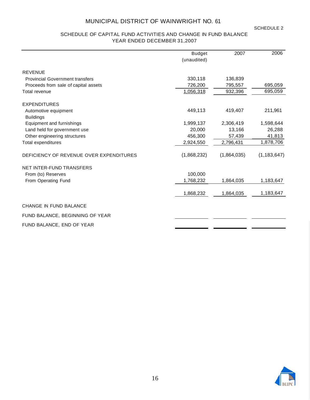SCHEDULE 2

#### SCHEDULE OF CAPITAL FUND ACTIVITIES AND CHANGE IN FUND BALANCE YEAR ENDED DECEMBER 31,2007

|                                               | <b>Budget</b> | 2007        | 2006          |
|-----------------------------------------------|---------------|-------------|---------------|
|                                               | (unaudited)   |             |               |
| <b>REVENUE</b>                                |               |             |               |
| <b>Provincial Government transfers</b>        | 330,118       | 136,839     |               |
| Proceeds from sale of capital assets          | 726,200       | 795,557     | 695,059       |
| Total revenue                                 | 1,056,318     | 932,396     | 695,059       |
| <b>EXPENDITURES</b>                           |               |             |               |
| Automotive equipment                          | 449,113       | 419,407     | 211,961       |
| <b>Buildings</b><br>Equipment and furnishings | 1,999,137     | 2,306,419   | 1,598,644     |
| Land held for government use                  | 20,000        | 13,166      | 26,288        |
| Other engineering structures                  | 456,300       | 57,439      | 41,813        |
| Total expenditures                            | 2,924,550     | 2,796,431   | 1,878,706     |
| DEFICIENCY OF REVENUE OVER EXPENDITURES       | (1,868,232)   | (1,864,035) | (1, 183, 647) |
| <b>NET INTER-FUND TRANSFERS</b>               |               |             |               |
| From (to) Reserves                            | 100,000       |             |               |
| From Operating Fund                           | 1,768,232     | 1,864,035   | 1,183,647     |
|                                               | 1,868,232     | 1,864,035   | 1,183,647     |
| CHANGE IN FUND BALANCE                        |               |             |               |
| FUND BALANCE, BEGINNING OF YEAR               |               |             |               |
| FUND BALANCE, END OF YEAR                     |               |             |               |
|                                               |               |             |               |

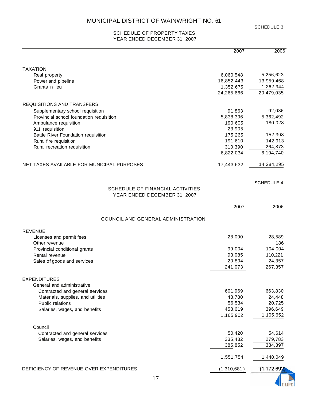#### SCHEDULE OF PROPERTY TAXES YEAR ENDED DECEMBER 31, 2007

|                                                                  | 2007              | 2006              |
|------------------------------------------------------------------|-------------------|-------------------|
| <b>TAXATION</b>                                                  |                   |                   |
| Real property                                                    | 6,060,548         | 5,256,623         |
| Power and pipeline                                               | 16,852,443        | 13,959,468        |
| Grants in lieu                                                   | 1,352,675         | 1,262,944         |
|                                                                  | 24,265,666        | 20,479,035        |
| <b>REQUISITIONS AND TRANSFERS</b>                                |                   |                   |
| Supplementary school requisition                                 | 91,863            | 92,036            |
| Provincial school foundation requisition                         | 5,838,396         | 5,362,492         |
| Ambulance requisition                                            | 190,605           | 180,028           |
| 911 requisition                                                  | 23,905            |                   |
| <b>Battle River Foundation requisition</b>                       | 175,265           | 152,398           |
| Rural fire requisition                                           | 191,610           | 142,913           |
| Rural recreation requisition                                     | 310,390           | 264,873           |
|                                                                  | 6,822,034         | 6,194,740         |
| NET TAXES AVAILABLE FOR MUNICIPAL PURPOSES                       | 17,443,632        | 14,284,295        |
|                                                                  |                   | <b>SCHEDULE 4</b> |
| SCHEDULE OF FINANCIAL ACTIVITIES<br>YEAR ENDED DECEMBER 31, 2007 |                   |                   |
|                                                                  | 2007              | 2006              |
|                                                                  |                   |                   |
| COUNCIL AND GENERAL ADMINISTRATION                               |                   |                   |
| <b>REVENUE</b>                                                   |                   |                   |
| Licenses and permit fees                                         | 28,090            | 28,589            |
| Other revenue                                                    |                   | 186               |
| Provincial conditional grants                                    | 99,004            | 104,004           |
| Rental revenue                                                   | 93,085            | 110,221           |
| Sales of goods and services                                      | 20,894<br>241,073 | 24,357<br>267,357 |
|                                                                  |                   |                   |
| <b>EXPENDITURES</b>                                              |                   |                   |
| General and administrative                                       |                   |                   |
| Contracted and general services                                  | 601,969<br>48,780 | 663,830<br>24,448 |
| Materials, supplies, and utilities<br>Public relations           | 56,534            | 20,725            |
| Salaries, wages, and benefits                                    | 458,619           | 396,649           |
|                                                                  | 1,165,902         | 1,105,652         |
|                                                                  |                   |                   |
| Council<br>Contracted and general services                       | 50,420            | 54,614            |
| Salaries, wages, and benefits                                    | 335,432           | 279,783           |
|                                                                  | 385,852           | 334,397           |
|                                                                  | 1,551,754         | 1,440,049         |
| DEFICIENCY OF REVENUE OVER EXPENDITURES                          | (1,310,681)       | (1, 172, 692)     |
|                                                                  |                   |                   |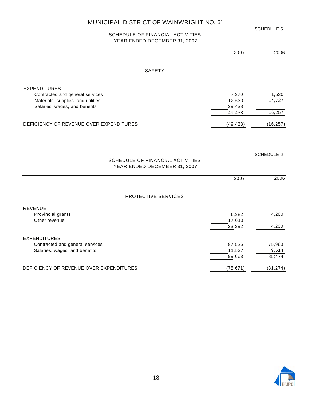#### SCHEDULE OF FINANCIAL ACTIVITIES YEAR ENDED DECEMBER 31, 2007

|                                                                  | 2007      | 2006              |
|------------------------------------------------------------------|-----------|-------------------|
| <b>SAFETY</b>                                                    |           |                   |
| <b>EXPENDITURES</b>                                              |           |                   |
| Contracted and general services                                  | 7,370     | 1,530             |
| Materials, supplies, and utilities                               | 12,630    | 14,727            |
| Salaries, wages, and benefits                                    | 29,438    |                   |
|                                                                  | 49,438    | 16,257            |
| DEFICIENCY OF REVENUE OVER EXPENDITURES                          | (49, 438) | (16, 257)         |
|                                                                  |           |                   |
|                                                                  |           | <b>SCHEDULE 6</b> |
| SCHEDULE OF FINANCIAL ACTIVITIES<br>YEAR ENDED DECEMBER 31, 2007 |           |                   |
|                                                                  | 2007      | 2006              |
| PROTECTIVE SERVICES                                              |           |                   |
| <b>REVENUE</b>                                                   |           |                   |
| Provincial grants                                                | 6,382     | 4,200             |
| Other revenue                                                    | 17,010    |                   |
|                                                                  | 23,392    | 4,200             |
| <b>EXPENDITURES</b>                                              |           |                   |
| Contracted and general services                                  | 87,526    | 75,960            |
| Salaries, wages, and benefits                                    | 11,537    | 9,514             |
|                                                                  | 99,063    | 85;474            |
| DEFICIENCY OF REVENUE OVER EXPENDITURES                          | (75, 671) | (81, 274)         |



SCHEDULE 5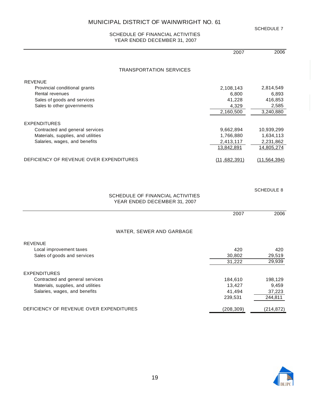#### SCHEDULE OF FINANCIAL ACTIVITIES YEAR ENDED DECEMBER 31, 2007

|                                         | 2007                | 2006         |
|-----------------------------------------|---------------------|--------------|
| TRANSPORTATION SERVICES                 |                     |              |
| <b>REVENUE</b>                          |                     |              |
| Provincial conditional grants           | 2,108,143           | 2,814,549    |
| Rental revenues                         | 6,800               | 6,893        |
| Sales of goods and services             | 41,228              | 416,853      |
| Sales to other governments              | 4,329               | 2,585        |
|                                         | 2,160,500           | 3,240,880    |
| <b>EXPENDITURES</b>                     |                     |              |
| Contracted and general services         | 9,662,894           | 10,939,299   |
| Materials, supplies, and utilities      | 1,766,880           | 1,634,113    |
| Salaries, wages, and benefits           | 2,413,117           | 2,231,862    |
|                                         | 13,842,891          | 14,805,274   |
| DEFICIENCY OF REVENUE OVER EXPENDITURES | <u>(11,682,391)</u> | (11.564.394) |

|                                         | SCHEDULE OF FINANCIAL ACTIVITIES<br>YEAR ENDED DECEMBER 31, 2007 |            | <b>SCHEDULE 8</b> |
|-----------------------------------------|------------------------------------------------------------------|------------|-------------------|
|                                         |                                                                  | 2007       | 2006              |
|                                         | WATER, SEWER AND GARBAGE                                         |            |                   |
| <b>REVENUE</b>                          |                                                                  |            |                   |
| Local improvement taxes                 |                                                                  | 420        | 420               |
| Sales of goods and services             |                                                                  | 30,802     | 29,519            |
|                                         |                                                                  | 31,222     | 29,939            |
| <b>EXPENDITURES</b>                     |                                                                  |            |                   |
| Contracted and general services         |                                                                  | 184,610    | 198,129           |
| Materials, supplies, and utilities      |                                                                  | 13,427     | 9,459             |
| Salaries, wages, and benefits           |                                                                  | 41,494     | 37,223            |
|                                         |                                                                  | 239,531    | 244,811           |
| DEFICIENCY OF REVENUE OVER EXPENDITURES |                                                                  | (208, 309) | (214, 872)        |

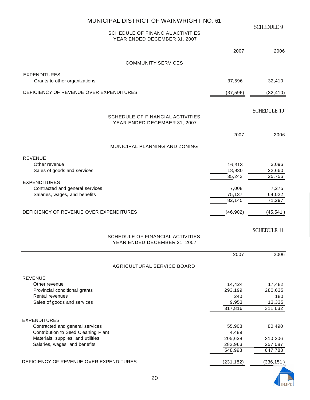#### SCHEDULE OF FINANCIAL ACTIVITIES YEAR ENDED DECEMBER 31, 2007

|                                                                  | 2007             | 2006               |
|------------------------------------------------------------------|------------------|--------------------|
| <b>COMMUNITY SERVICES</b>                                        |                  |                    |
| <b>EXPENDITURES</b>                                              |                  |                    |
| Grants to other organizations                                    | 37,596           | 32,410             |
| DEFICIENCY OF REVENUE OVER EXPENDITURES                          | (37, 596)        | (32, 410)          |
|                                                                  |                  | <b>SCHEDULE 10</b> |
| SCHEDULE OF FINANCIAL ACTIVITIES<br>YEAR ENDED DECEMBER 31, 2007 |                  |                    |
|                                                                  | 2007             | 2006               |
| MUNICIPAL PLANNING AND ZONING                                    |                  |                    |
| <b>REVENUE</b>                                                   |                  |                    |
| Other revenue                                                    | 16,313           | 3,096              |
| Sales of goods and services                                      | 18,930<br>35,243 | 22,660<br>25,756   |
| <b>EXPENDITURES</b>                                              |                  |                    |
| Contracted and general services                                  | 7,008            | 7,275              |
| Salaries, wages, and benefits                                    | 75,137           | 64,022<br>71,297   |
|                                                                  | 82,145           |                    |
| DEFICIENCY OF REVENUE OVER EXPENDITURES                          | (46, 902)        | (45, 541)          |
| SCHEDULE OF FINANCIAL ACTIVITIES<br>YEAR ENDED DECEMBER 31, 2007 |                  | <b>SCHEDULE 11</b> |
|                                                                  | 2007             | 2006               |
| AGRICULTURAL SERVICE BOARD                                       |                  |                    |
| <b>REVENUE</b>                                                   |                  |                    |
| Other revenue                                                    | 14,424           | 17,482             |
| Provincial conditional grants                                    | 293,199          | 280,635            |
| Rental revenues                                                  | 240              | 180<br>13,335      |
| Sales of goods and services                                      | 9,953<br>317,816 | 311,632            |
|                                                                  |                  |                    |
| <b>EXPENDITURES</b><br>Contracted and general services           | 55,908           | 80,490             |
| Contribution to Seed Cleaning Plant                              | 4,489            |                    |
| Materials, supplies, and utilities                               | 205,638          | 310,206            |
| Salaries, wages, and benefits                                    | 282,963          | 257,087            |
|                                                                  | 548,998          | 647,783            |
| DEFICIENCY OF REVENUE OVER EXPENDITURES                          | (231, 182)       | (336, 151)         |
|                                                                  |                  |                    |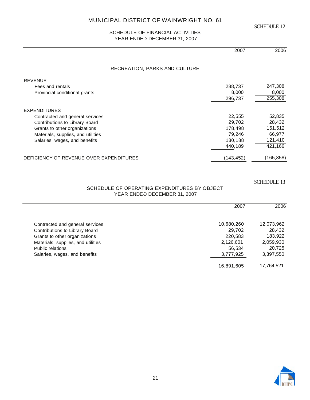#### SCHEDULE OF FINANCIAL ACTIVITIES YEAR ENDED DECEMBER 31, 2007

|                                         | 2007       | 2006       |
|-----------------------------------------|------------|------------|
| RECREATION, PARKS AND CULTURE           |            |            |
| <b>REVENUE</b>                          |            |            |
| Fees and rentals                        | 288,737    | 247,308    |
| Provincial conditional grants           | 8,000      | 8,000      |
|                                         | 296,737    | 255,308    |
| <b>EXPENDITURES</b>                     |            |            |
| Contracted and general services         | 22,555     | 52,835     |
| Contributions to Library Board          | 29,702     | 28,432     |
| Grants to other organizations           | 178,498    | 151,512    |
| Materials, supplies, and utilities      | 79,246     | 66,977     |
| Salaries, wages, and benefits           | 130,188    | 121,410    |
|                                         | 440,189    | 421,166    |
| DEFICIENCY OF REVENUE OVER EXPENDITURES | (143, 452) | (165, 858) |

SCHEDULE 13

#### SCHEDULE OF OPERATING EXPENDITURES BY OBJECT YEAR ENDED DECEMBER 31, 2007

|                                    | 2007       | 2006       |
|------------------------------------|------------|------------|
|                                    |            |            |
| Contracted and general services    | 10,680,260 | 12,073,962 |
| Contributions to Library Board     | 29,702     | 28,432     |
| Grants to other organizations      | 220,583    | 183,922    |
| Materials, supplies, and utilities | 2,126,601  | 2,059,930  |
| Public relations                   | 56,534     | 20,725     |
| Salaries, wages, and benefits      | 3,777,925  | 3,397,550  |
|                                    |            |            |
|                                    | 16,891,605 | 17,764,521 |
|                                    |            |            |

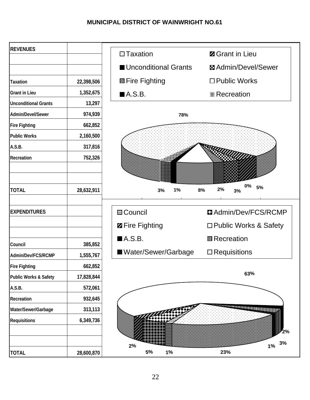| <b>REVENUES</b>             |            | <b>□ Taxation</b>      | <b>Z</b> Grant in Lieu        |
|-----------------------------|------------|------------------------|-------------------------------|
|                             |            | ■ Unconditional Grants | <b>E</b> Admin/Devel/Sewer    |
| <b>Taxation</b>             | 22,398,506 | <b>B</b> Fire Fighting | $\square$ Public Works        |
|                             |            |                        |                               |
| <b>Grant in Lieu</b>        | 1,352,675  | A.S.B.                 | <b>E</b> Recreation           |
| <b>Unconditional Grants</b> | 13,297     |                        |                               |
| Admin/Devel/Sewer           | 974,939    | 78%                    |                               |
| <b>Fire Fighting</b>        | 662,852    |                        |                               |
| <b>Public Works</b>         | 2,160,500  |                        |                               |
| A.S.B.                      | 317,816    |                        |                               |
| Recreation                  | 752,326    |                        |                               |
|                             |            |                        |                               |
|                             |            |                        |                               |
| <b>TOTAL</b>                | 28,632,911 | 1%<br>3%               | $0\%$<br>5%<br>2%<br>8%<br>3% |
|                             |            |                        |                               |
| <b>EXPENDITURES</b>         |            | <b>目Council</b>        | Admin/Dev/FCS/RCMP            |
|                             |            | <b>Z</b> Fire Fighting | □ Public Works & Safety       |
|                             |            | A.S.B.                 | <b>III</b> Recreation         |
| Council                     | 385,852    |                        |                               |
| Admin/Dev/FCS/RCMP          | 1,555,767  | ■ Water/Sewer/Garbage  | $\Box$ Requisitions           |
| <b>Fire Fighting</b>        | 662,852    |                        |                               |
| Public Works & Safety       | 17,828,844 |                        | 63%                           |
| A.S.B.                      | 572,061    |                        |                               |
| Recreation                  | 932,645    |                        |                               |
| Water/Sewer/Garbage         | 313,113    |                        | <b>CONTRACTOR CONTRACTOR</b>  |
| <b>Requisitions</b>         | 6,349,736  |                        |                               |
|                             |            |                        | 2%                            |
|                             |            |                        |                               |
| <b>TOTAL</b>                | 28,600,870 | 2%<br>5%<br>1%         | $1\%$ 3%<br>23%               |
|                             |            |                        |                               |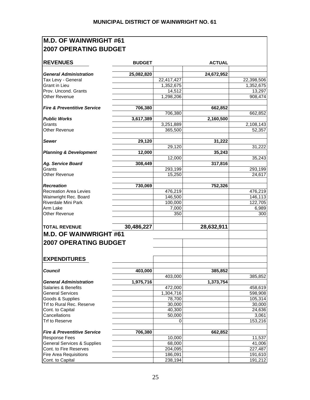# **M.D. OF WAINWRIGHT #61 2007 OPERATING BUDGET**

| <b>REVENUES</b>                                                  | <b>BUDGET</b> |            | <b>ACTUAL</b> |                    |
|------------------------------------------------------------------|---------------|------------|---------------|--------------------|
|                                                                  |               |            |               |                    |
| <b>General Administration</b>                                    | 25,082,820    |            | 24,672,952    |                    |
| Tax Levy - General                                               |               | 22,417,427 |               | 22,398,506         |
| <b>Grant in Lieu</b>                                             |               | 1,352,675  |               | 1,352,675          |
| Prov. Uncond. Grants                                             |               | 14,512     |               | 13,297             |
| <b>Other Revenue</b>                                             |               | 1,298,206  |               | 908,474            |
| <b>Fire &amp; Preventitive Service</b>                           | 706,380       |            | 662,852       |                    |
|                                                                  |               | 706,380    |               | 662,852            |
| <b>Public Works</b>                                              | 3,617,389     |            | 2,160,500     |                    |
| Grants                                                           |               | 3,251,889  |               | 2,108,143          |
| <b>Other Revenue</b>                                             |               | 365,500    |               | 52,357             |
| <b>Sewer</b>                                                     | 29,120        |            | 31,222        |                    |
|                                                                  |               | 29,120     |               | 31,222             |
| <b>Planning &amp; Development</b>                                | 12,000        |            | 35,243        |                    |
|                                                                  |               | 12,000     |               | 35,243             |
| Ag. Service Board                                                | 308,449       |            | 317,816       |                    |
| Grants                                                           |               | 293,199    |               | 293,199            |
| <b>Other Revenue</b>                                             |               | 15,250     |               | 24,617             |
| <b>Recreation</b>                                                | 730,069       |            | 752,326       |                    |
| <b>Recreation Area Levies</b>                                    |               | 476,219    |               | 476,219            |
| Wainwright Rec. Board                                            |               | 146,500    |               | 146,113            |
| Riverdale Mini Park                                              |               | 100,000    |               | 122,705            |
| Arm Lake                                                         |               | 7,000      |               | 6,989              |
| <b>Other Revenue</b>                                             |               | 350        |               | 300                |
| <b>TOTAL REVENUE</b>                                             | 30,486,227    |            | 28,632,911    |                    |
| <b>M.D. OF WAINWRIGHT #61</b>                                    |               |            |               |                    |
| <b>2007 OPERATING BUDGET</b>                                     |               |            |               |                    |
| <b>EXPENDITURES</b>                                              |               |            |               |                    |
| <b>Council</b>                                                   | 403,000       |            | 385,852       |                    |
|                                                                  |               | 403,000    |               | 385,852            |
| <b>General Administration</b>                                    | 1,975,716     |            | 1,373,754     |                    |
| Salaries & Benefits                                              |               | 472,000    |               | 458,619            |
| <b>General Services</b>                                          |               | 1,304,716  |               | 598,908            |
| Goods & Supplies                                                 |               | 78,700     |               | 105,314            |
| Trf to Rural Rec. Reserve                                        |               | 30,000     |               | 30,000             |
| Cont. to Capital                                                 |               | 40,300     |               | 24,636             |
| Cancellations                                                    |               | 50,000     |               | 3,061              |
| Trf to Reserve                                                   |               | 0          |               | 153,216            |
| <b>Fire &amp; Preventitive Service</b>                           | 706,380       |            | 662,852       |                    |
| <b>Response Fees</b>                                             |               | 10,000     |               | 11,537             |
|                                                                  |               |            |               |                    |
|                                                                  |               | 68,000     |               |                    |
| <b>General Services &amp; Supplies</b><br>Cont. to Fire Reserves |               | 204,095    |               | 41,006             |
| <b>Fire Area Requisitions</b>                                    |               | 186,091    |               | 227,487<br>191,610 |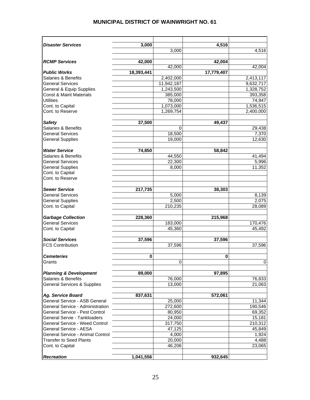| <b>Disaster Services</b>                                           | 3,000      |                  | 4,516      |                  |
|--------------------------------------------------------------------|------------|------------------|------------|------------------|
|                                                                    |            | 3,000            |            | 4,516            |
|                                                                    |            |                  |            |                  |
| <b>RCMP Services</b>                                               | 42,000     |                  | 42,004     |                  |
|                                                                    |            | 42,000           |            | 42,004           |
| <b>Public Works</b>                                                | 18,393,441 |                  | 17,779,407 |                  |
| Salaries & Benefits                                                |            | 2,402,000        |            | 2,413,117        |
| <b>General Services</b>                                            |            | 11,942,187       |            | 9,632,717        |
| General & Equip Supplies                                           |            | 1,243,500        |            | 1,328,752        |
| <b>Const &amp; Maint Materials</b>                                 |            | 385,000          |            | 393,358          |
| <b>Utilities</b>                                                   |            | 78,000           |            | 74,947           |
| Cont. to Capital                                                   |            | 1,073,000        |            | 1,536,515        |
| Cont. to Reserve                                                   |            | 1,269,754        |            | 2,400,000        |
|                                                                    |            |                  |            |                  |
| <b>Safety</b>                                                      | 37,500     |                  | 49,437     |                  |
| Salaries & Benefits                                                |            | 0                |            | 29,438           |
| <b>General Services</b>                                            |            | 18,500           |            | 7,370            |
| <b>General Supplies</b>                                            |            | 19,000           |            | 12,630           |
| <b>Water Service</b>                                               | 74,850     |                  |            |                  |
| Salaries & Benefits                                                |            | 44,550           | 58,842     | 41,494           |
|                                                                    |            |                  |            |                  |
| <b>General Services</b>                                            |            | 22,300           |            | 5,996<br>11,352  |
| <b>General Supplies</b>                                            |            | 8,000            |            |                  |
| Cont. to Capital<br>Cont. to Reserve                               |            |                  |            |                  |
|                                                                    |            |                  |            |                  |
| <b>Sewer Service</b>                                               | 217,735    |                  | 38,303     |                  |
| <b>General Services</b>                                            |            | 5,000            |            | 8,139            |
| <b>General Supplies</b>                                            |            | 2,500            |            | 2,075            |
| Cont. to Capital                                                   |            | 210,235          |            | 28,089           |
|                                                                    |            |                  |            |                  |
| <b>Garbage Collection</b>                                          | 228,360    |                  | 215,968    |                  |
| <b>General Services</b>                                            |            | 183,000          |            | 170,476          |
| Cont. to Capital                                                   |            | 45,360           |            | 45,492           |
|                                                                    |            |                  |            |                  |
| <b>Social Services</b>                                             | 37,596     |                  | 37,596     |                  |
| <b>FCS Contribution</b>                                            |            | 37,596           |            | 37,596           |
|                                                                    |            |                  |            |                  |
| <b>Cemeteries</b>                                                  | 0          |                  | 0          |                  |
| Grants                                                             |            | 0                |            | 0                |
|                                                                    |            |                  |            |                  |
| <b>Planning &amp; Development</b>                                  | 89,000     |                  | 97,895     |                  |
| Salaries & Benefits                                                |            | 76,000           |            | 76,833           |
| <b>General Services &amp; Supplies</b>                             |            | 13,000           |            | 21,063           |
| Ag. Service Board                                                  | 837,631    |                  | 572,061    |                  |
| General Service - ASB General                                      |            | 25,000           |            | 11,344           |
| General Service - Administration                                   |            | 272,600          |            | 190,546          |
| General Service - Pest Control                                     |            |                  |            |                  |
| General Servie - Tankloaders                                       |            | 80,950<br>24,000 |            | 69,352<br>15,181 |
| <b>General Service - Weed Control</b>                              |            | 317,750          |            | 210,312          |
| General Service - AESA                                             |            |                  |            |                  |
|                                                                    |            | 47,125           |            | 45,849           |
| General Service - Animal Control<br><b>Transfer to Seed Plants</b> |            | 4,000            |            | 1,924            |
|                                                                    |            | 20,000<br>46,206 |            | 4,488            |
| Cont. to Capital                                                   |            |                  |            | 23,065           |
| <b>Recreation</b>                                                  | 1,041,556  |                  | 932,645    |                  |
|                                                                    |            |                  |            |                  |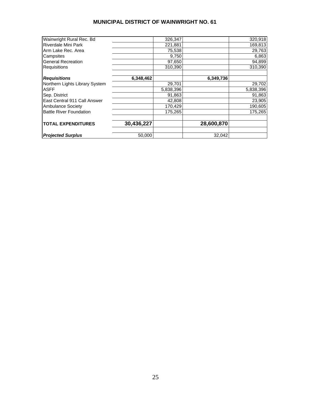| Wainwright Rural Rec. Bd       |            | 326,347   |            | 320,918   |
|--------------------------------|------------|-----------|------------|-----------|
| Riverdale Mini Park            |            | 221,881   |            | 169,813   |
| Arm Lake Rec. Area             |            | 75,538    |            | 29,763    |
| Campsites                      |            | 9,750     |            | 6,863     |
| <b>General Recreation</b>      |            | 97,650    |            | 94,899    |
| <b>Requisitions</b>            |            | 310.390   |            | 310.390   |
| <b>Requisitions</b>            | 6,348,462  |           | 6,349,736  |           |
| Northern Lights Library System |            | 29,701    |            | 29,702    |
| <b>ASFF</b>                    |            | 5,838,396 |            | 5,838,396 |
| Sep. District                  |            | 91,863    |            | 91,863    |
| East Central 911 Call Answer   |            | 42,808    |            | 23,905    |
| <b>Ambulance Society</b>       |            | 170,429   |            | 190,605   |
| <b>Battle River Foundation</b> |            | 175,265   |            | 175,265   |
| <b>TOTAL EXPENDITURES</b>      | 30,436,227 |           | 28,600,870 |           |
| <b>Projected Surplus</b>       | 50,000     |           | 32.042     |           |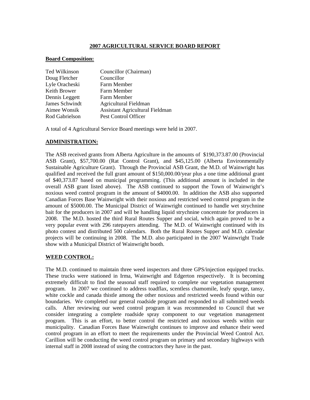#### **2007 AGRICULTURAL SERVICE BOARD REPORT**

#### **Board Composition:**

| Ted Wilkinson  | Councillor (Chairman)                  |
|----------------|----------------------------------------|
| Doug Fletcher  | Councillor                             |
| Lyle Oracheski | Farm Member                            |
| Keith Brower   | Farm Member                            |
| Dennis Leggett | Farm Member                            |
| James Schwindt | Agricultural Fieldman                  |
| Aimee Wonsik   | <b>Assistant Agricultural Fieldman</b> |
| Rod Gabrielson | Pest Control Officer                   |

A total of 4 Agricultural Service Board meetings were held in 2007.

#### **ADMINISTRATION:**

The ASB received grants from Alberta Agriculture in the amounts of \$190,373.87.00 (Provincial ASB Grant), \$57,700.00 (Rat Control Grant), and \$45,125.00 (Alberta Environmentally Sustainable Agriculture Grant). Through the Provincial ASB Grant, the M.D. of Wainwright has qualified and received the full grant amount of \$150,000.00/year plus a one time additional grant of \$40,373.87 based on municipal programming. (This additional amount is included in the overall ASB grant listed above). The ASB continued to support the Town of Wainwright's noxious weed control program in the amount of \$4000.00. In addition the ASB also supported Canadian Forces Base Wainwright with their noxious and restricted weed control program in the amount of \$5000.00. The Municipal District of Wainwright continued to handle wet strychnine bait for the producers in 2007 and will be handling liquid strychnine concentrate for producers in 2008. The M.D. hosted the third Rural Routes Supper and social, which again proved to be a very popular event with 296 ratepayers attending. The M.D. of Wainwright continued with its photo contest and distributed 500 calendars. Both the Rural Routes Supper and M.D. calendar projects will be continuing in 2008. The M.D. also participated in the 2007 Wainwright Trade show with a Municipal District of Wainwright booth.

#### **WEED CONTROL:**

The M.D. continued to maintain three weed inspectors and three GPS/injection equipped trucks. These trucks were stationed in Irma, Wainwright and Edgerton respectively. It is becoming extremely difficult to find the seasonal staff required to complete our vegetation management program. In 2007 we continued to address toadflax, scentless chamomile, leafy spurge, tansy, white cockle and canada thistle among the other noxious and restricted weeds found within our boundaries. We completed our general roadside program and responded to all submitted weeds calls. After reviewing our weed control program it was recommended to Council that we consider integrating a complete roadside spray component to our vegetation management program. This is an effort, to better control the restricted and noxious weeds within our municipality. Canadian Forces Base Wainwright continues to improve and enhance their weed control program in an effort to meet the requirements under the Provincial Weed Control Act. Carillion will be conducting the weed control program on primary and secondary highways with internal staff in 2008 instead of using the contractors they have in the past.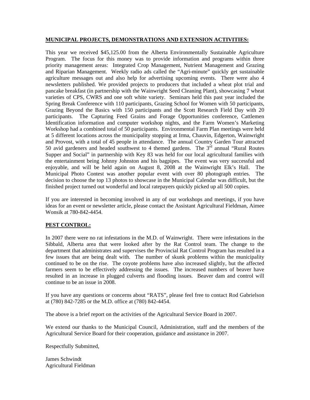#### **MUNICIPAL PROJECTS, DEMONSTRATIONS AND EXTENSION ACTIVITIES:**

This year we received \$45,125.00 from the Alberta Environmentally Sustainable Agriculture Program. The focus for this money was to provide information and programs within three priority management areas: Integrated Crop Management, Nutrient Management and Grazing and Riparian Management. Weekly radio ads called the "Agri-minute" quickly get sustainable agriculture messages out and also help for advertising upcoming events. There were also 4 newsletters published. We provided projects to producers that included a wheat plot trial and pancake breakfast (in partnership with the Wainwright Seed Cleaning Plant), showcasing 7 wheat varieties of CPS, CWRS and one soft white variety. Seminars held this past year included the Spring Break Conference with 110 participants, Grazing School for Women with 50 participants, Grazing Beyond the Basics with 150 participants and the Scott Research Field Day with 20 participants. The Capturing Feed Grains and Forage Opportunities conference, Cattlemen Identification information and computer workshop nights, and the Farm Women's Marketing Workshop had a combined total of 50 participants. Environmental Farm Plan meetings were held at 5 different locations across the municipality stopping at Irma, Chauvin, Edgerton, Wainwright and Provost, with a total of 45 people in attendance. The annual Country Garden Tour attracted 50 avid gardeners and headed southwest to 4 themed gardens. The 3<sup>rd</sup> annual "Rural Routes" Supper and Social" in partnership with Key 83 was held for our local agricultural families with the entertainment being Johnny Johnston and his bagpipes. The event was very successful and enjoyable, and will be held again on August 8, 2008 at the Wainwright Elk's Hall. The Municipal Photo Contest was another popular event with over 80 photograph entries. The decision to choose the top 13 photos to showcase in the Municipal Calendar was difficult, but the finished project turned out wonderful and local ratepayers quickly picked up all 500 copies.

If you are interested in becoming involved in any of our workshops and meetings, if you have ideas for an event or newsletter article, please contact the Assistant Agricultural Fieldman, Aimee Wonsik at 780-842-4454.

#### **PEST CONTROL:**

In 2007 there were no rat infestations in the M.D. of Wainwright. There were infestations in the Sibbald, Alberta area that were looked after by the Rat Control team. The change to the department that administrates and supervises the Provincial Rat Control Program has resulted in a few issues that are being dealt with. The number of skunk problems within the municipality continued to be on the rise. The coyote problems have also increased slightly, but the affected farmers seem to be effectively addressing the issues. The increased numbers of beaver have resulted in an increase in plugged culverts and flooding issues. Beaver dam and control will continue to be an issue in 2008.

If you have any questions or concerns about "RATS", please feel free to contact Rod Gabrielson at (780) 842-7285 or the M.D. office at (780) 842-4454.

The above is a brief report on the activities of the Agricultural Service Board in 2007.

We extend our thanks to the Municipal Council, Administration, staff and the members of the Agricultural Service Board for their cooperation, guidance and assistance in 2007.

Respectfully Submitted,

James Schwindt Agricultural Fieldman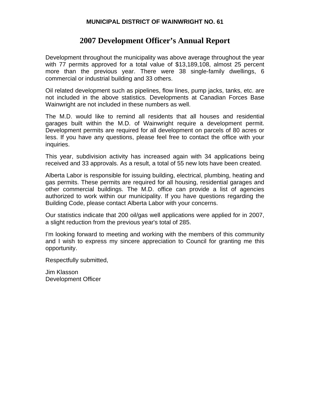# **2007 Development Officer's Annual Report**

Development throughout the municipality was above average throughout the year with 77 permits approved for a total value of \$13,189,108, almost 25 percent more than the previous year. There were 38 single-family dwellings, 6 commercial or industrial building and 33 others.

Oil related development such as pipelines, flow lines, pump jacks, tanks, etc. are not included in the above statistics. Developments at Canadian Forces Base Wainwright are not included in these numbers as well.

The M.D. would like to remind all residents that all houses and residential garages built within the M.D. of Wainwright require a development permit. Development permits are required for all development on parcels of 80 acres or less. If you have any questions, please feel free to contact the office with your inquiries.

This year, subdivision activity has increased again with 34 applications being received and 33 approvals. As a result, a total of 55 new lots have been created.

Alberta Labor is responsible for issuing building, electrical, plumbing, heating and gas permits. These permits are required for all housing, residential garages and other commercial buildings. The M.D. office can provide a list of agencies authorized to work within our municipality. If you have questions regarding the Building Code, please contact Alberta Labor with your concerns.

Our statistics indicate that 200 oil/gas well applications were applied for in 2007, a slight reduction from the previous year's total of 285.

I'm looking forward to meeting and working with the members of this community and I wish to express my sincere appreciation to Council for granting me this opportunity.

Respectfully submitted,

Jim Klasson Development Officer